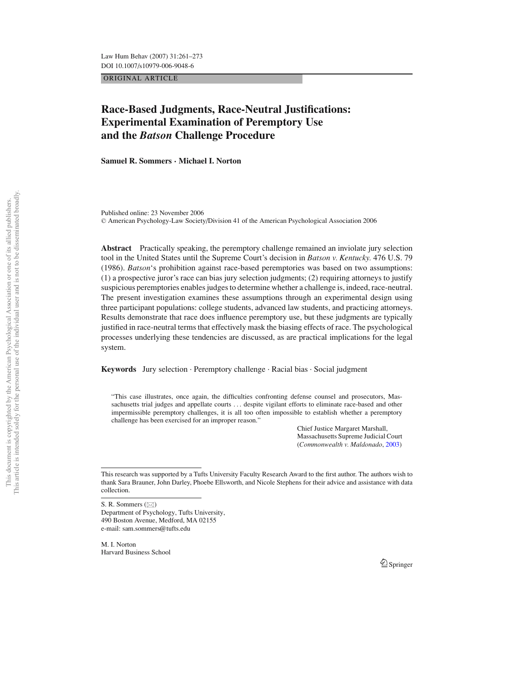ORIGINAL ARTICLE

# **Race-Based Judgments, Race-Neutral Justifications: Experimental Examination of Peremptory Use and the** *Batson* **Challenge Procedure**

**Samuel R. Sommers · Michael I. Norton**

Published online: 23 November 2006 <sup>C</sup> American Psychology-Law Society/Division 41 of the American Psychological Association 2006

**Abstract** Practically speaking, the peremptory challenge remained an inviolate jury selection tool in the United States until the Supreme Court's decision in *Batson v. Kentucky.* 476 U.S. 79 (1986). *Batson*'s prohibition against race-based peremptories was based on two assumptions: (1) a prospective juror's race can bias jury selection judgments; (2) requiring attorneys to justify suspicious peremptories enables judges to determine whether a challenge is, indeed, race-neutral. The present investigation examines these assumptions through an experimental design using three participant populations: college students, advanced law students, and practicing attorneys. Results demonstrate that race does influence peremptory use, but these judgments are typically justified in race-neutral terms that effectively mask the biasing effects of race. The psychological processes underlying these tendencies are discussed, as are practical implications for the legal system.

**Keywords** Jury selection . Peremptory challenge . Racial bias . Social judgment

"This case illustrates, once again, the difficulties confronting defense counsel and prosecutors, Massachusetts trial judges and appellate courts ... despite vigilant efforts to eliminate race-based and other impermissible peremptory challenges, it is all too often impossible to establish whether a peremptory challenge has been exercised for an improper reason."

> Chief Justice Margaret Marshall, Massachusetts Supreme Judicial Court (*Commonwealth v. Maldonado*, [2003\)](#page-11-0)

M. I. Norton Harvard Business School

 $\mathcal{D}_{\text{Springer}}$ 

This research was supported by a Tufts University Faculty Research Award to the first author. The authors wish to thank Sara Brauner, John Darley, Phoebe Ellsworth, and Nicole Stephens for their advice and assistance with data collection.

S. R. Sommers  $(\boxtimes)$ Department of Psychology, Tufts University, 490 Boston Avenue, Medford, MA 02155

e-mail: sam.sommers@tufts.edu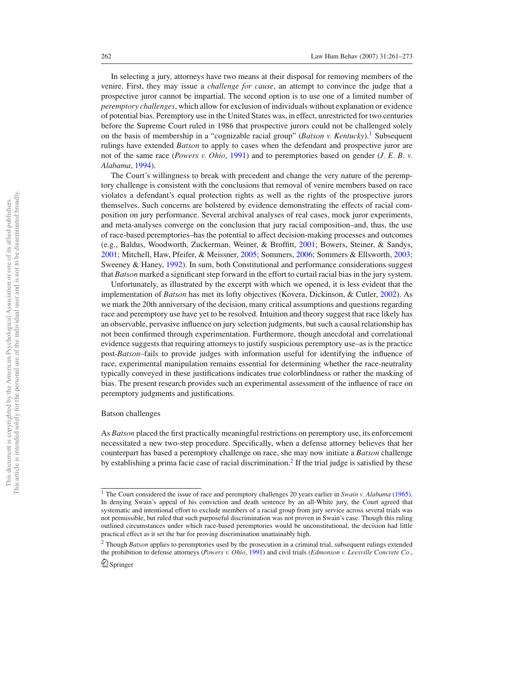In selecting a jury, attorneys have two means at their disposal for removing members of the venire. First, they may issue a *challenge for cause*, an attempt to convince the judge that a prospective juror cannot be impartial. The second option is to use one of a limited number of *peremptory challenges*, which allow for exclusion of individuals without explanation or evidence of potential bias. Peremptory use in the United States was, in effect, unrestricted for two centuries before the Supreme Court ruled in 1986 that prospective jurors could not be challenged solely on the basis of membership in a "cognizable racial group" (*Batson v. Kentucky*)[.1](#page-1-0) Subsequent rulings have extended *Batson* to apply to cases when the defendant and prospective juror are not of the same race (*Powers v. Ohio*, [1991\)](#page-12-0) and to peremptories based on gender (*J. E. B. v. Alabama*, [1994\)](#page-11-1).

The Court's willingness to break with precedent and change the very nature of the peremptory challenge is consistent with the conclusions that removal of venire members based on race violates a defendant's equal protection rights as well as the rights of the prospective jurors themselves. Such concerns are bolstered by evidence demonstrating the effects of racial composition on jury performance. Several archival analyses of real cases, mock juror experiments, and meta-analyses converge on the conclusion that jury racial composition–and, thus, the use of race-based peremptories–has the potential to affect decision-making processes and outcomes (e.g., Baldus, Woodworth, Zuckerman, Weiner, & Broffitt, [2001;](#page-11-2) Bowers, Steiner, & Sandys, [2001;](#page-11-3) Mitchell, Haw, Pfeifer, & Meissner, [2005;](#page-12-1) Sommers, [2006;](#page-12-2) Sommers & Ellsworth, [2003;](#page-12-3) Sweeney & Haney, [1992\)](#page-12-4). In sum, both Constitutional and performance considerations suggest that *Batson* marked a significant step forward in the effort to curtail racial bias in the jury system.

Unfortunately, as illustrated by the excerpt with which we opened, it is less evident that the implementation of *Batson* has met its lofty objectives (Kovera, Dickinson, & Cutler, [2002\)](#page-11-4). As we mark the 20th anniversary of the decision, many critical assumptions and questions regarding race and peremptory use have yet to be resolved. Intuition and theory suggest that race likely has an observable, pervasive influence on jury selection judgments, but such a causal relationship has not been confirmed through experimentation. Furthermore, though anecdotal and correlational evidence suggests that requiring attorneys to justify suspicious peremptory use–as is the practice post-*Batson*–fails to provide judges with information useful for identifying the influence of race, experimental manipulation remains essential for determining whether the race-neutrality typically conveyed in these justifications indicates true colorblindness or rather the masking of bias. The present research provides such an experimental assessment of the influence of race on peremptory judgments and justifications.

## Batson challenges

As *Batson* placed the first practically meaningful restrictions on peremptory use, its enforcement necessitated a new two-step procedure. Specifically, when a defense attorney believes that her counterpart has based a peremptory challenge on race, she may now initiate a *Batson* challenge by establishing a prima facie case of racial discrimination.<sup>2</sup> If the trial judge is satisfied by these

<span id="page-1-0"></span><sup>1</sup> The Court considered the issue of race and peremptory challenges 20 years earlier in *Swain v. Alabama* [\(1965\).](#page-12-5) In denying Swain's appeal of his conviction and death sentence by an all-White jury, the Court agreed that systematic and intentional effort to exclude members of a racial group from jury service across several trials was not permissible, but ruled that such purposeful discrimination was not proven in Swain's case. Though this ruling outlined circumstances under which race-based peremptories would be unconstitutional, the decision had little practical effect as it set the bar for proving discrimination unattainably high.

<span id="page-1-1"></span><sup>&</sup>lt;sup>2</sup> Though *Batson* applies to peremptories used by the prosecution in a criminal trial, subsequent rulings extended the prohibition to defense attorneys (*Powers v. Ohio*, [1991\)](#page-12-0) and civil trials (*Edmonson v. Leesville Concrete Co.*,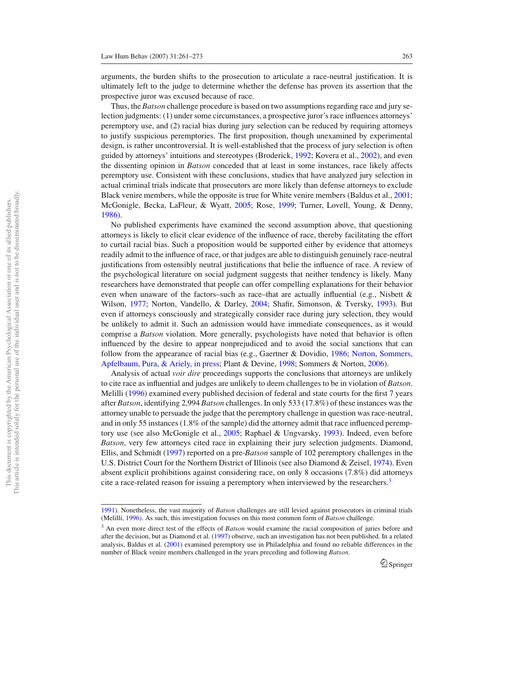arguments, the burden shifts to the prosecution to articulate a race-neutral justification. It is ultimately left to the judge to determine whether the defense has proven its assertion that the prospective juror was excused because of race.

Thus, the *Batson* challenge procedure is based on two assumptions regarding race and jury selection judgments: (1) under some circumstances, a prospective juror's race influences attorneys' peremptory use, and (2) racial bias during jury selection can be reduced by requiring attorneys to justify suspicious peremptories. The first proposition, though unexamined by experimental design, is rather uncontroversial. It is well-established that the process of jury selection is often guided by attorneys' intuitions and stereotypes (Broderick, [1992;](#page-11-5) Kovera et al., [2002\)](#page-11-4), and even the dissenting opinion in *Batson* conceded that at least in some instances, race likely affects peremptory use. Consistent with these conclusions, studies that have analyzed jury selection in actual criminal trials indicate that prosecutors are more likely than defense attorneys to exclude Black venire members, while the opposite is true for White venire members (Baldus et al., [2001;](#page-11-2) McGonigle, Becka, LaFleur, & Wyatt, [2005;](#page-11-6) Rose, [1999;](#page-12-6) Turner, Lovell, Young, & Denny, [1986\)](#page-12-7).

No published experiments have examined the second assumption above, that questioning attorneys is likely to elicit clear evidence of the influence of race, thereby facilitating the effort to curtail racial bias. Such a proposition would be supported either by evidence that attorneys readily admit to the influence of race, or that judges are able to distinguish genuinely race-neutral justifications from ostensibly neutral justifications that belie the influence of race. A review of the psychological literature on social judgment suggests that neither tendency is likely. Many researchers have demonstrated that people can offer compelling explanations for their behavior even when unaware of the factors–such as race–that are actually influential (e.g., Nisbett  $\&$ Wilson, [1977;](#page-12-8) Norton, Vandello, & Darley, [2004;](#page-12-9) Shafir, Simonson, & Tversky, [1993\)](#page-12-10). But even if attorneys consciously and strategically consider race during jury selection, they would be unlikely to admit it. Such an admission would have immediate consequences, as it would comprise a *Batson* violation. More generally, psychologists have noted that behavior is often influenced by the desire to appear nonprejudiced and to avoid the social sanctions that can follow from the appearance of racial bias (e.g., Gaertner & Dovidio, [1986;](#page-11-7) Norton, Sommers, Apfelbaum, Pura, & Ariely, in press; Plant & Devine, [1998;](#page-12-11) Sommers & Norton, [2006\)](#page-12-12).

Analysis of actual *voir dire* proceedings supports the conclusions that attorneys are unlikely to cite race as influential and judges are unlikely to deem challenges to be in violation of *Batson*. Melilli [\(1996\)](#page-12-13) examined every published decision of federal and state courts for the first 7 years after *Batson*, identifying 2,994 *Batson* challenges. In only 533 (17.8%) of these instances was the attorney unable to persuade the judge that the peremptory challenge in question was race-neutral, and in only 55 instances (1.8% of the sample) did the attorney admit that race influenced peremptory use (see also McGonigle et al., [2005;](#page-11-6) Raphael & Ungvarsky, [1993\)](#page-12-14). Indeed, even before *Batson*, very few attorneys cited race in explaining their jury selection judgments. Diamond, Ellis, and Schmidt [\(1997\)](#page-11-8) reported on a pre-*Batson* sample of 102 peremptory challenges in the U.S. District Court for the Northern District of Illinois (see also Diamond & Zeisel, [1974\)](#page-11-9). Even absent explicit prohibitions against considering race, on only 8 occasions (7.8%) did attorneys cite a race-related reason for issuing a peremptory when interviewed by the researchers[.3](#page-2-0)

[<sup>1991\)</sup>](#page-11-10). Nonetheless, the vast majority of *Batson* challenges are still levied against prosecutors in criminal trials (Melilli, [1996\)](#page-12-13). As such, this investigation focuses on this most common form of *Batson* challenge.

<span id="page-2-0"></span><sup>3</sup> An even more direct test of the effects of *Batson* would examine the racial composition of juries before and after the decision, but as Diamond et al. [\(1997\)](#page-11-8) observe, such an investigation has not been published. In a related analysis, Baldus et al. [\(2001\)](#page-11-2) examined peremptory use in Philadelphia and found no reliable differences in the number of Black venire members challenged in the years preceding and following *Batson*.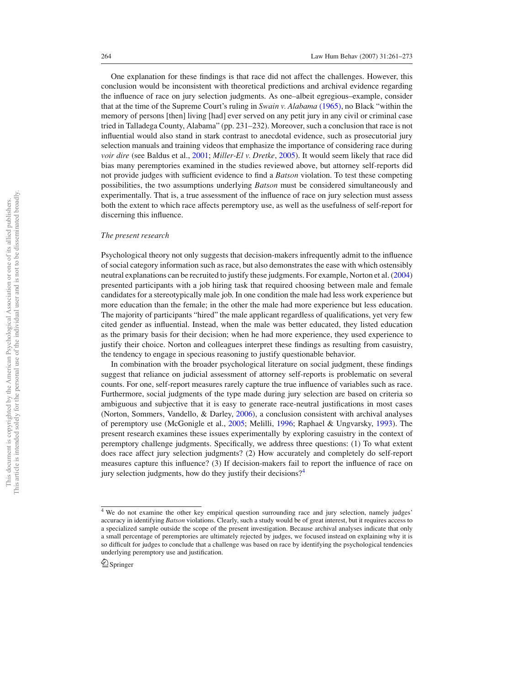One explanation for these findings is that race did not affect the challenges. However, this conclusion would be inconsistent with theoretical predictions and archival evidence regarding the influence of race on jury selection judgments. As one–albeit egregious–example, consider that at the time of the Supreme Court's ruling in *Swain v. Alabama* [\(1965\),](#page-12-5) no Black "within the memory of persons [then] living [had] ever served on any petit jury in any civil or criminal case tried in Talladega County, Alabama" (pp. 231–232). Moreover, such a conclusion that race is not influential would also stand in stark contrast to anecdotal evidence, such as prosecutorial jury selection manuals and training videos that emphasize the importance of considering race during *voir dire* (see Baldus et al., [2001;](#page-11-2) *Miller-El v. Dretke*, [2005\)](#page-12-15). It would seem likely that race did bias many peremptories examined in the studies reviewed above, but attorney self-reports did not provide judges with sufficient evidence to find a *Batson* violation. To test these competing possibilities, the two assumptions underlying *Batson* must be considered simultaneously and experimentally. That is, a true assessment of the influence of race on jury selection must assess both the extent to which race affects peremptory use, as well as the usefulness of self-report for discerning this influence.

## *The present research*

Psychological theory not only suggests that decision-makers infrequently admit to the influence of social category information such as race, but also demonstrates the ease with which ostensibly neutral explanations can be recruited to justify these judgments. For example, Norton et al. [\(2004\)](#page-12-9) presented participants with a job hiring task that required choosing between male and female candidates for a stereotypically male job. In one condition the male had less work experience but more education than the female; in the other the male had more experience but less education. The majority of participants "hired" the male applicant regardless of qualifications, yet very few cited gender as influential. Instead, when the male was better educated, they listed education as the primary basis for their decision; when he had more experience, they used experience to justify their choice. Norton and colleagues interpret these findings as resulting from casuistry, the tendency to engage in specious reasoning to justify questionable behavior.

In combination with the broader psychological literature on social judgment, these findings suggest that reliance on judicial assessment of attorney self-reports is problematic on several counts. For one, self-report measures rarely capture the true influence of variables such as race. Furthermore, social judgments of the type made during jury selection are based on criteria so ambiguous and subjective that it is easy to generate race-neutral justifications in most cases (Norton, Sommers, Vandello, & Darley, [2006\)](#page-12-16), a conclusion consistent with archival analyses of peremptory use (McGonigle et al., [2005;](#page-11-6) Melilli, [1996;](#page-12-13) Raphael & Ungvarsky, [1993\)](#page-12-14). The present research examines these issues experimentally by exploring casuistry in the context of peremptory challenge judgments. Specifically, we address three questions: (1) To what extent does race affect jury selection judgments? (2) How accurately and completely do self-report measures capture this influence? (3) If decision-makers fail to report the influence of race on jury selection judgments, how do they justify their decisions?<sup>[4](#page-3-0)</sup>

<span id="page-3-0"></span><sup>4</sup> We do not examine the other key empirical question surrounding race and jury selection, namely judges' accuracy in identifying *Batson* violations. Clearly, such a study would be of great interest, but it requires access to a specialized sample outside the scope of the present investigation. Because archival analyses indicate that only a small percentage of peremptories are ultimately rejected by judges, we focused instead on explaining why it is so difficult for judges to conclude that a challenge was based on race by identifying the psychological tendencies underlying peremptory use and justification.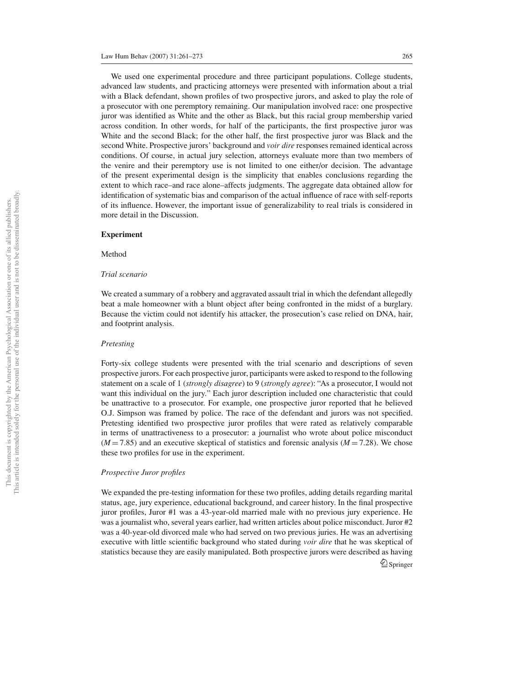We used one experimental procedure and three participant populations. College students, advanced law students, and practicing attorneys were presented with information about a trial with a Black defendant, shown profiles of two prospective jurors, and asked to play the role of a prosecutor with one peremptory remaining. Our manipulation involved race: one prospective juror was identified as White and the other as Black, but this racial group membership varied across condition. In other words, for half of the participants, the first prospective juror was White and the second Black; for the other half, the first prospective juror was Black and the second White. Prospective jurors' background and *voir dire* responses remained identical across conditions. Of course, in actual jury selection, attorneys evaluate more than two members of the venire and their peremptory use is not limited to one either/or decision. The advantage of the present experimental design is the simplicity that enables conclusions regarding the extent to which race–and race alone–affects judgments. The aggregate data obtained allow for identification of systematic bias and comparison of the actual influence of race with self-reports of its influence. However, the important issue of generalizability to real trials is considered in more detail in the Discussion.

## **Experiment**

#### Method

## *Trial scenario*

We created a summary of a robbery and aggravated assault trial in which the defendant allegedly beat a male homeowner with a blunt object after being confronted in the midst of a burglary. Because the victim could not identify his attacker, the prosecution's case relied on DNA, hair, and footprint analysis.

#### *Pretesting*

Forty-six college students were presented with the trial scenario and descriptions of seven prospective jurors. For each prospective juror, participants were asked to respond to the following statement on a scale of 1 (*strongly disagree*) to 9 (*strongly agree*): "As a prosecutor, I would not want this individual on the jury." Each juror description included one characteristic that could be unattractive to a prosecutor. For example, one prospective juror reported that he believed O.J. Simpson was framed by police. The race of the defendant and jurors was not specified. Pretesting identified two prospective juror profiles that were rated as relatively comparable in terms of unattractiveness to a prosecutor: a journalist who wrote about police misconduct  $(M=7.85)$  and an executive skeptical of statistics and forensic analysis  $(M=7.28)$ . We chose these two profiles for use in the experiment.

## *Prospective Juror profiles*

We expanded the pre-testing information for these two profiles, adding details regarding marital status, age, jury experience, educational background, and career history. In the final prospective juror profiles, Juror #1 was a 43-year-old married male with no previous jury experience. He was a journalist who, several years earlier, had written articles about police misconduct. Juror #2 was a 40-year-old divorced male who had served on two previous juries. He was an advertising executive with little scientific background who stated during *voir dire* that he was skeptical of statistics because they are easily manipulated. Both prospective jurors were described as having  $\bigcirc$  Springer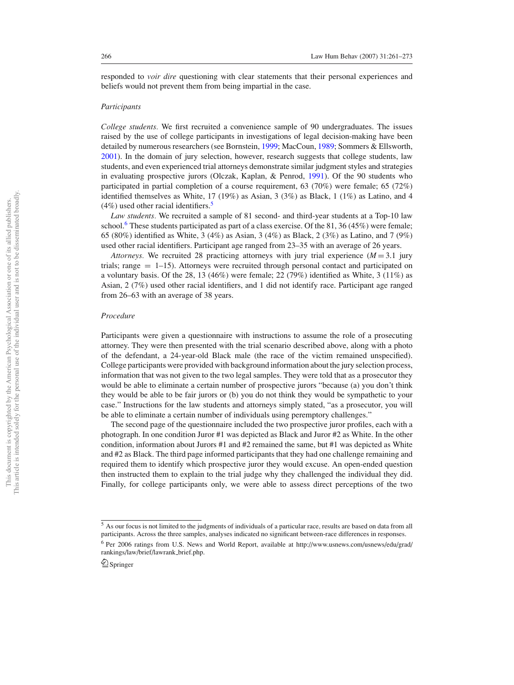responded to *voir dire* questioning with clear statements that their personal experiences and beliefs would not prevent them from being impartial in the case.

## *Participants*

*College students.* We first recruited a convenience sample of 90 undergraduates. The issues raised by the use of college participants in investigations of legal decision-making have been detailed by numerous researchers (see Bornstein, [1999;](#page-11-11) MacCoun, [1989;](#page-11-12) Sommers & Ellsworth, [2001\)](#page-12-17). In the domain of jury selection, however, research suggests that college students, law students, and even experienced trial attorneys demonstrate similar judgment styles and strategies in evaluating prospective jurors (Olczak, Kaplan, & Penrod, [1991\)](#page-12-18). Of the 90 students who participated in partial completion of a course requirement, 63 (70%) were female; 65 (72%) identified themselves as White,  $17 \ (19\%)$  as Asian,  $3 \ (3\%)$  as Black,  $1 \ (1\%)$  as Latino, and 4  $(4\%)$  used other racial identifiers.<sup>5</sup>

Law students. We recruited a sample of 81 second- and third-year students at a Top-10 law school.<sup>6</sup> These students participated as part of a class exercise. Of the 81, 36 (45%) were female; 65 (80%) identified as White, 3 (4%) as Asian, 3 (4%) as Black, 2 (3%) as Latino, and 7 (9%) used other racial identifiers. Participant age ranged from 23–35 with an average of 26 years.

*Attorneys.* We recruited 28 practicing attorneys with jury trial experience  $(M = 3.1)$  jury trials; range  $= 1-15$ ). Attorneys were recruited through personal contact and participated on a voluntary basis. Of the 28, 13 (46%) were female; 22 (79%) identified as White, 3 (11%) as Asian, 2 (7%) used other racial identifiers, and 1 did not identify race. Participant age ranged from 26–63 with an average of 38 years.

#### *Procedure*

Participants were given a questionnaire with instructions to assume the role of a prosecuting attorney. They were then presented with the trial scenario described above, along with a photo of the defendant, a 24-year-old Black male (the race of the victim remained unspecified). College participants were provided with background information about the jury selection process, information that was not given to the two legal samples. They were told that as a prosecutor they would be able to eliminate a certain number of prospective jurors "because (a) you don't think they would be able to be fair jurors or (b) you do not think they would be sympathetic to your case." Instructions for the law students and attorneys simply stated, "as a prosecutor, you will be able to eliminate a certain number of individuals using peremptory challenges."

The second page of the questionnaire included the two prospective juror profiles, each with a photograph. In one condition Juror #1 was depicted as Black and Juror #2 as White. In the other condition, information about Jurors #1 and #2 remained the same, but #1 was depicted as White and #2 as Black. The third page informed participants that they had one challenge remaining and required them to identify which prospective juror they would excuse. An open-ended question then instructed them to explain to the trial judge why they challenged the individual they did. Finally, for college participants only, we were able to assess direct perceptions of the two

<sup>&</sup>lt;sup>5</sup> As our focus is not limited to the judgments of individuals of a particular race, results are based on data from all participants. Across the three samples, analyses indicated no significant between-race differences in responses.

<span id="page-5-1"></span><span id="page-5-0"></span><sup>6</sup> Per 2006 ratings from U.S. News and World Report, available at http://www.usnews.com/usnews/edu/grad/ rankings/law/brief/lawrank\_brief.php.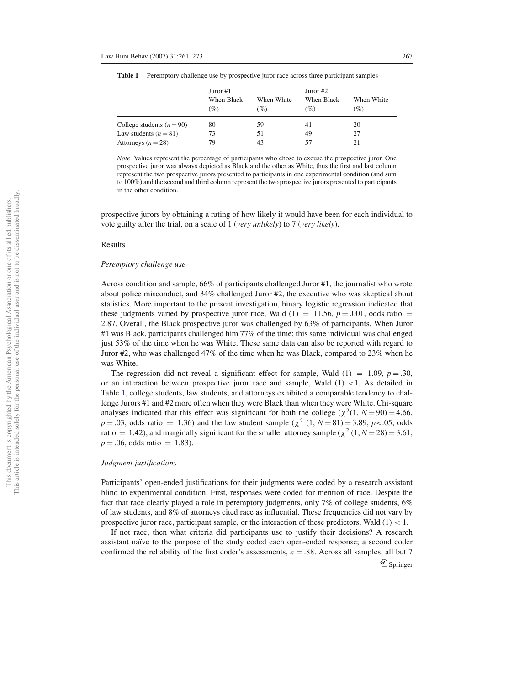|                           | Juror $#1$        |                   | Juror #2          |                      |
|---------------------------|-------------------|-------------------|-------------------|----------------------|
|                           | When Black<br>(%) | When White<br>(%) | When Black<br>(%) | When White<br>$(\%)$ |
| College students $(n=90)$ | 80                | 59                | 41                | 20                   |
| Law students $(n=81)$     | 73                | 51                | 49                | 27                   |
| Attorneys $(n=28)$        | 79                | 43                | 57                | 21                   |

<span id="page-6-0"></span>**Table 1** Peremptory challenge use by prospective juror race across three participant samples

*Note*. Values represent the percentage of participants who chose to excuse the prospective juror. One prospective juror was always depicted as Black and the other as White, thus the first and last column represent the two prospective jurors presented to participants in one experimental condition (and sum to 100%) and the second and third column represent the two prospective jurors presented to participants in the other condition.

prospective jurors by obtaining a rating of how likely it would have been for each individual to vote guilty after the trial, on a scale of 1 (*very unlikely*) to 7 (*very likely*).

#### Results

#### *Peremptory challenge use*

Across condition and sample, 66% of participants challenged Juror #1, the journalist who wrote about police misconduct, and 34% challenged Juror #2, the executive who was skeptical about statistics. More important to the present investigation, binary logistic regression indicated that these judgments varied by prospective juror race, Wald  $(1) = 11.56$ ,  $p = .001$ , odds ratio = 2.87. Overall, the Black prospective juror was challenged by 63% of participants. When Juror #1 was Black, participants challenged him 77% of the time; this same individual was challenged just 53% of the time when he was White. These same data can also be reported with regard to Juror #2, who was challenged 47% of the time when he was Black, compared to 23% when he was White.

The regression did not reveal a significant effect for sample, Wald  $(1) = 1.09$ ,  $p = .30$ , or an interaction between prospective juror race and sample, Wald  $(1)$  <1. As detailed in Table [1,](#page-6-0) college students, law students, and attorneys exhibited a comparable tendency to challenge Jurors #1 and #2 more often when they were Black than when they were White. Chi-square analyses indicated that this effect was significant for both the college ( $\chi^2(1, N=90) = 4.66$ , *p* = .03, odds ratio = 1.36) and the law student sample ( $\chi^2$  (1, *N* = 81) = 3.89, *p* < .05, odds ratio = 1.42), and marginally significant for the smaller attorney sample ( $\chi^2$  (1,  $N = 28$ ) = 3.61,  $p = .06$ , odds ratio = 1.83).

## *Judgment justifications*

Participants' open-ended justifications for their judgments were coded by a research assistant blind to experimental condition. First, responses were coded for mention of race. Despite the fact that race clearly played a role in peremptory judgments, only 7% of college students, 6% of law students, and 8% of attorneys cited race as influential. These frequencies did not vary by prospective juror race, participant sample, or the interaction of these predictors, Wald  $(1)$  < 1.

If not race, then what criteria did participants use to justify their decisions? A research assistant naïve to the purpose of the study coded each open-ended response; a second coder confirmed the reliability of the first coder's assessments,  $\kappa = .88$ . Across all samples, all but 7  $\mathcal{Q}_{\text{Springer}}$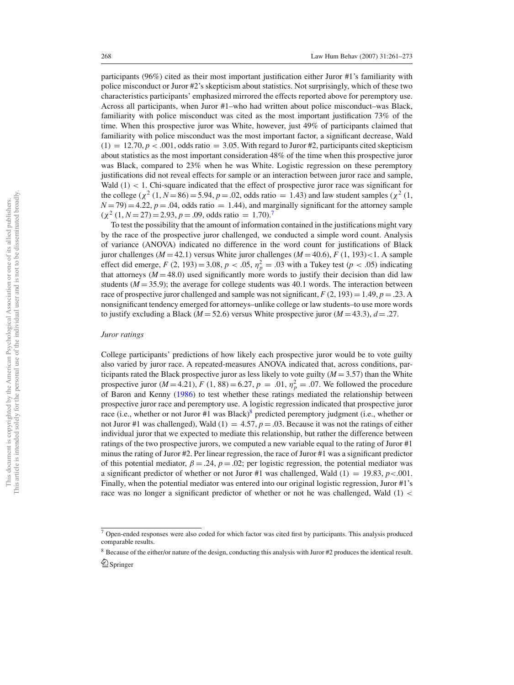participants (96%) cited as their most important justification either Juror #1's familiarity with police misconduct or Juror #2's skepticism about statistics. Not surprisingly, which of these two characteristics participants' emphasized mirrored the effects reported above for peremptory use. Across all participants, when Juror #1–who had written about police misconduct–was Black, familiarity with police misconduct was cited as the most important justification 73% of the time. When this prospective juror was White, however, just 49% of participants claimed that familiarity with police misconduct was the most important factor, a significant decrease, Wald  $(1) = 12.70, p < .001$ , odds ratio = 3.05. With regard to Juror #2, participants cited skepticism about statistics as the most important consideration 48% of the time when this prospective juror was Black, compared to 23% when he was White. Logistic regression on these peremptory justifications did not reveal effects for sample or an interaction between juror race and sample, Wald  $(1)$  < 1. Chi-square indicated that the effect of prospective juror race was significant for the college  $(\chi^2 (1, N = 86) = 5.94, p = .02,$  odds ratio = 1.43) and law student samples  $(\chi^2 (1,$  $N = 79$ ) = 4.22,  $p = .04$ , odds ratio = 1.44), and marginally significant for the attorney sample  $(\chi^2 (1, N = 27) = 2.93, p = .09, \text{ odds ratio} = 1.70).$  $(\chi^2 (1, N = 27) = 2.93, p = .09, \text{ odds ratio} = 1.70).$  $(\chi^2 (1, N = 27) = 2.93, p = .09, \text{ odds ratio} = 1.70).$ <sup>7</sup>

To test the possibility that the amount of information contained in the justifications might vary by the race of the prospective juror challenged, we conducted a simple word count. Analysis of variance (ANOVA) indicated no difference in the word count for justifications of Black juror challenges ( $M = 42.1$ ) versus White juror challenges ( $M = 40.6$ ),  $F(1, 193) < 1$ . A sample effect did emerge, *F* (2, 193) = 3.08, *p* < .05,  $\eta_p^2$  = .03 with a Tukey test (*p* < .05) indicating that attorneys  $(M = 48.0)$  used significantly more words to justify their decision than did law students  $(M = 35.9)$ ; the average for college students was 40.1 words. The interaction between race of prospective juror challenged and sample was not significant,  $F(2, 193) = 1.49$ ,  $p = .23$ . A nonsignificant tendency emerged for attorneys–unlike college or law students–to use more words to justify excluding a Black ( $M = 52.6$ ) versus White prospective juror ( $M = 43.3$ ),  $d = .27$ .

#### *Juror ratings*

College participants' predictions of how likely each prospective juror would be to vote guilty also varied by juror race. A repeated-measures ANOVA indicated that, across conditions, participants rated the Black prospective juror as less likely to vote guilty  $(M = 3.57)$  than the White prospective juror ( $M = 4.21$ ),  $F(1, 88) = 6.27$ ,  $p = .01$ ,  $\eta_p^2 = .07$ . We followed the procedure of Baron and Kenny [\(1986\)](#page-11-13) to test whether these ratings mediated the relationship between prospective juror race and peremptory use. A logistic regression indicated that prospective juror race (i.e., whether or not Juror #1 was Black)<sup>8</sup> predicted peremptory judgment (i.e., whether or not Juror #1 was challenged), Wald  $(1) = 4.57$ ,  $p = .03$ . Because it was not the ratings of either individual juror that we expected to mediate this relationship, but rather the difference between ratings of the two prospective jurors, we computed a new variable equal to the rating of Juror #1 minus the rating of Juror #2. Per linear regression, the race of Juror #1 was a significant predictor of this potential mediator,  $\beta = .24$ ,  $p = .02$ ; per logistic regression, the potential mediator was a significant predictor of whether or not Juror #1 was challenged, Wald  $(1) = 19.83$ ,  $p < .001$ . Finally, when the potential mediator was entered into our original logistic regression, Juror #1's race was no longer a significant predictor of whether or not he was challenged, Wald  $(1)$ 

<span id="page-7-0"></span> $7$  Open-ended responses were also coded for which factor was cited first by participants. This analysis produced comparable results.

<span id="page-7-1"></span> $8$  Because of the either/or nature of the design, conducting this analysis with Juror #2 produces the identical result.  $\mathcal{Q}_{\text{Springer}}$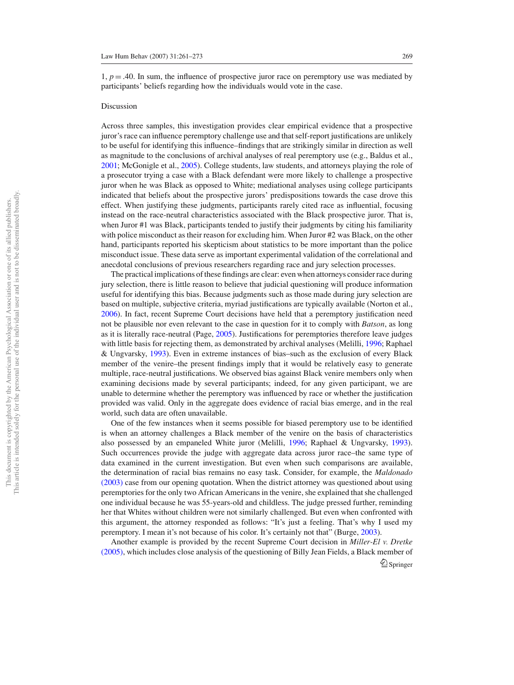$1, p = .40$ . In sum, the influence of prospective juror race on peremptory use was mediated by participants' beliefs regarding how the individuals would vote in the case.

#### Discussion

Across three samples, this investigation provides clear empirical evidence that a prospective juror's race can influence peremptory challenge use and that self-report justifications are unlikely to be useful for identifying this influence–findings that are strikingly similar in direction as well as magnitude to the conclusions of archival analyses of real peremptory use (e.g., Baldus et al., [2001;](#page-11-2) McGonigle et al., [2005\)](#page-11-6). College students, law students, and attorneys playing the role of a prosecutor trying a case with a Black defendant were more likely to challenge a prospective juror when he was Black as opposed to White; mediational analyses using college participants indicated that beliefs about the prospective jurors' predispositions towards the case drove this effect. When justifying these judgments, participants rarely cited race as influential, focusing instead on the race-neutral characteristics associated with the Black prospective juror. That is, when Juror #1 was Black, participants tended to justify their judgments by citing his familiarity with police misconduct as their reason for excluding him. When Juror #2 was Black, on the other hand, participants reported his skepticism about statistics to be more important than the police misconduct issue. These data serve as important experimental validation of the correlational and anecdotal conclusions of previous researchers regarding race and jury selection processes.

The practical implications of these findings are clear: even when attorneys consider race during jury selection, there is little reason to believe that judicial questioning will produce information useful for identifying this bias. Because judgments such as those made during jury selection are based on multiple, subjective criteria, myriad justifications are typically available (Norton et al., [2006\)](#page-12-16). In fact, recent Supreme Court decisions have held that a peremptory justification need not be plausible nor even relevant to the case in question for it to comply with *Batson*, as long as it is literally race-neutral (Page, [2005\)](#page-12-19). Justifications for peremptories therefore leave judges with little basis for rejecting them, as demonstrated by archival analyses (Melilli, [1996;](#page-12-13) Raphael & Ungvarsky, [1993\)](#page-12-14). Even in extreme instances of bias–such as the exclusion of every Black member of the venire–the present findings imply that it would be relatively easy to generate multiple, race-neutral justifications. We observed bias against Black venire members only when examining decisions made by several participants; indeed, for any given participant, we are unable to determine whether the peremptory was influenced by race or whether the justification provided was valid. Only in the aggregate does evidence of racial bias emerge, and in the real world, such data are often unavailable.

One of the few instances when it seems possible for biased peremptory use to be identified is when an attorney challenges a Black member of the venire on the basis of characteristics also possessed by an empaneled White juror (Melilli, [1996;](#page-12-13) Raphael & Ungvarsky, [1993\)](#page-12-14). Such occurrences provide the judge with aggregate data across juror race–the same type of data examined in the current investigation. But even when such comparisons are available, the determination of racial bias remains no easy task. Consider, for example, the *Maldonado* [\(2003\)](#page-11-0) case from our opening quotation. When the district attorney was questioned about using peremptories for the only two African Americans in the venire, she explained that she challenged one individual because he was 55-years-old and childless. The judge pressed further, reminding her that Whites without children were not similarly challenged. But even when confronted with this argument, the attorney responded as follows: "It's just a feeling. That's why I used my peremptory. I mean it's not because of his color. It's certainly not that" (Burge, [2003\)](#page-11-14).

Another example is provided by the recent Supreme Court decision in *Miller-El v. Dretke* [\(2005\),](#page-12-15) which includes close analysis of the questioning of Billy Jean Fields, a Black member of  $\mathcal{Q}_{\text{Springe}}$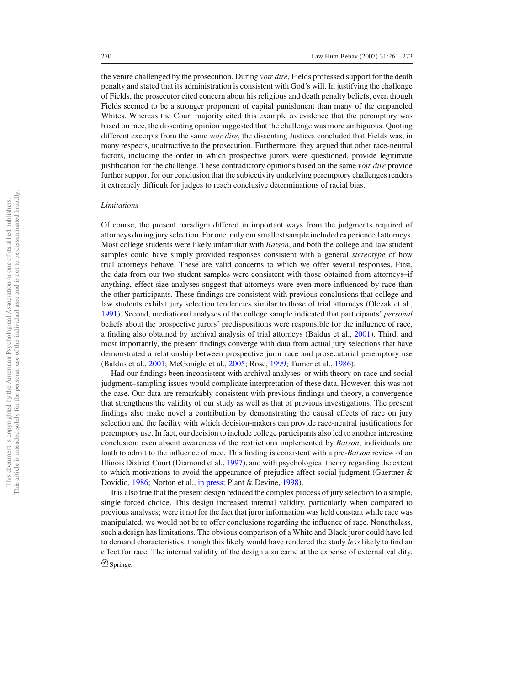the venire challenged by the prosecution. During *voir dire*, Fields professed support for the death penalty and stated that its administration is consistent with God's will. In justifying the challenge of Fields, the prosecutor cited concern about his religious and death penalty beliefs, even though Fields seemed to be a stronger proponent of capital punishment than many of the empaneled Whites. Whereas the Court majority cited this example as evidence that the peremptory was based on race, the dissenting opinion suggested that the challenge was more ambiguous. Quoting different excerpts from the same *voir dire*, the dissenting Justices concluded that Fields was, in many respects, unattractive to the prosecution. Furthermore, they argued that other race-neutral factors, including the order in which prospective jurors were questioned, provide legitimate justification for the challenge. These contradictory opinions based on the same *voir dire* provide further support for our conclusion that the subjectivity underlying peremptory challenges renders it extremely difficult for judges to reach conclusive determinations of racial bias.

## *Limitations*

Of course, the present paradigm differed in important ways from the judgments required of attorneys during jury selection. For one, only our smallest sample included experienced attorneys. Most college students were likely unfamiliar with *Batson*, and both the college and law student samples could have simply provided responses consistent with a general *stereotype* of how trial attorneys behave. These are valid concerns to which we offer several responses. First, the data from our two student samples were consistent with those obtained from attorneys–if anything, effect size analyses suggest that attorneys were even more influenced by race than the other participants. These findings are consistent with previous conclusions that college and law students exhibit jury selection tendencies similar to those of trial attorneys (Olczak et al., [1991\)](#page-12-18). Second, mediational analyses of the college sample indicated that participants' *personal* beliefs about the prospective jurors' predispositions were responsible for the influence of race, a finding also obtained by archival analysis of trial attorneys (Baldus et al., [2001\)](#page-11-2). Third, and most importantly, the present findings converge with data from actual jury selections that have demonstrated a relationship between prospective juror race and prosecutorial peremptory use (Baldus et al., [2001;](#page-11-2) McGonigle et al., [2005;](#page-11-6) Rose, [1999;](#page-12-6) Turner et al., [1986\)](#page-12-7).

Had our findings been inconsistent with archival analyses–or with theory on race and social judgment–sampling issues would complicate interpretation of these data. However, this was not the case. Our data are remarkably consistent with previous findings and theory, a convergence that strengthens the validity of our study as well as that of previous investigations. The present findings also make novel a contribution by demonstrating the causal effects of race on jury selection and the facility with which decision-makers can provide race-neutral justifications for peremptory use. In fact, our decision to include college participants also led to another interesting conclusion: even absent awareness of the restrictions implemented by *Batson*, individuals are loath to admit to the influence of race. This finding is consistent with a pre-*Batson* review of an Illinois District Court (Diamond et al., [1997\)](#page-11-8), and with psychological theory regarding the extent to which motivations to avoid the appearance of prejudice affect social judgment (Gaertner & Dovidio, [1986;](#page-11-7) Norton et al., [in press;](#page-12-20) Plant & Devine, [1998\)](#page-12-11).

It is also true that the present design reduced the complex process of jury selection to a simple, single forced choice. This design increased internal validity, particularly when compared to previous analyses; were it not for the fact that juror information was held constant while race was manipulated, we would not be to offer conclusions regarding the influence of race. Nonetheless, such a design has limitations. The obvious comparison of a White and Black juror could have led to demand characteristics, though this likely would have rendered the study *less* likely to find an effect for race. The internal validity of the design also came at the expense of external validity.  $\mathcal{Q}_{\text{Springer}}$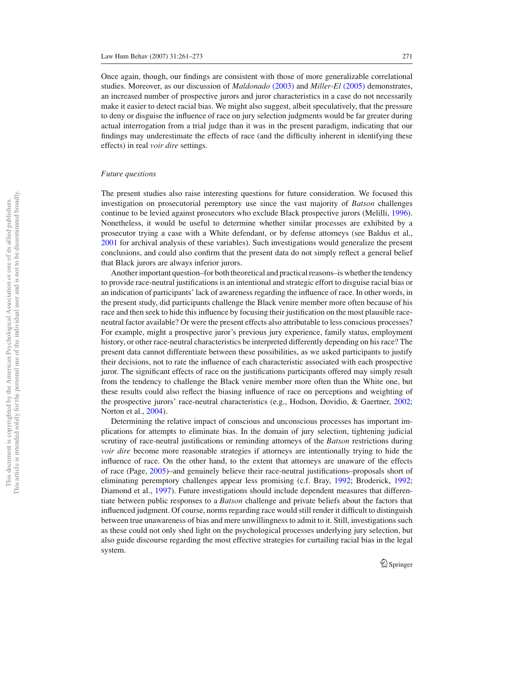Once again, though, our findings are consistent with those of more generalizable correlational studies. Moreover, as our discussion of *Maldonado* [\(2003\)](#page-11-0) and *Miller-El* [\(2005\)](#page-12-15) demonstrates, an increased number of prospective jurors and juror characteristics in a case do not necessarily make it easier to detect racial bias. We might also suggest, albeit speculatively, that the pressure to deny or disguise the influence of race on jury selection judgments would be far greater during actual interrogation from a trial judge than it was in the present paradigm, indicating that our findings may underestimate the effects of race (and the difficulty inherent in identifying these effects) in real *voir dire* settings.

## *Future questions*

The present studies also raise interesting questions for future consideration. We focused this investigation on prosecutorial peremptory use since the vast majority of *Batson* challenges continue to be levied against prosecutors who exclude Black prospective jurors (Melilli, [1996\)](#page-12-13). Nonetheless, it would be useful to determine whether similar processes are exhibited by a prosecutor trying a case with a White defendant, or by defense attorneys (see Baldus et al., [2001](#page-11-2) for archival analysis of these variables). Such investigations would generalize the present conclusions, and could also confirm that the present data do not simply reflect a general belief that Black jurors are always inferior jurors.

Another important question–for both theoretical and practical reasons–is whether the tendency to provide race-neutral justifications is an intentional and strategic effort to disguise racial bias or an indication of participants' lack of awareness regarding the influence of race. In other words, in the present study, did participants challenge the Black venire member more often because of his race and then seek to hide this influence by focusing their justification on the most plausible raceneutral factor available? Or were the present effects also attributable to less conscious processes? For example, might a prospective juror's previous jury experience, family status, employment history, or other race-neutral characteristics be interpreted differently depending on his race? The present data cannot differentiate between these possibilities, as we asked participants to justify their decisions, not to rate the influence of each characteristic associated with each prospective juror. The significant effects of race on the justifications participants offered may simply result from the tendency to challenge the Black venire member more often than the White one, but these results could also reflect the biasing influence of race on perceptions and weighting of the prospective jurors' race-neutral characteristics (e.g., Hodson, Dovidio, & Gaertner, [2002;](#page-11-15) Norton et al., [2004\)](#page-12-9).

Determining the relative impact of conscious and unconscious processes has important implications for attempts to eliminate bias. In the domain of jury selection, tightening judicial scrutiny of race-neutral justifications or reminding attorneys of the *Batson* restrictions during *voir dire* become more reasonable strategies if attorneys are intentionally trying to hide the influence of race. On the other hand, to the extent that attorneys are unaware of the effects of race (Page, [2005\)](#page-12-19)–and genuinely believe their race-neutral justifications–proposals short of eliminating peremptory challenges appear less promising (c.f. Bray, [1992;](#page-11-16) Broderick, [1992;](#page-11-5) Diamond et al., [1997\)](#page-11-8). Future investigations should include dependent measures that differentiate between public responses to a *Batson* challenge and private beliefs about the factors that influenced judgment. Of course, norms regarding race would still render it difficult to distinguish between true unawareness of bias and mere unwillingness to admit to it. Still, investigations such as these could not only shed light on the psychological processes underlying jury selection, but also guide discourse regarding the most effective strategies for curtailing racial bias in the legal system.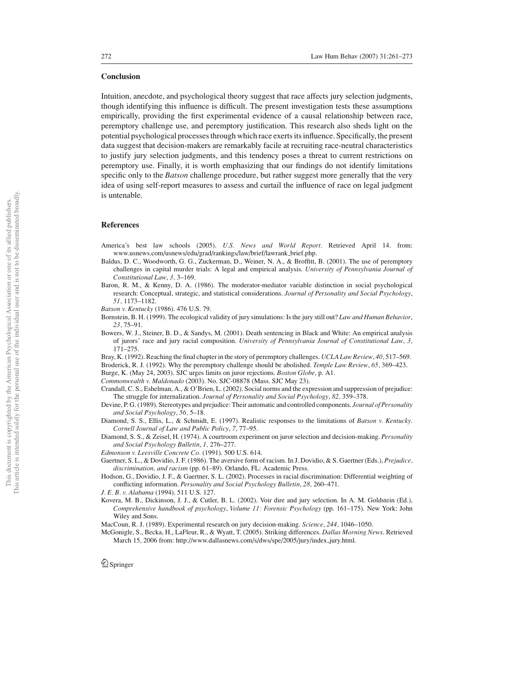## **Conclusion**

Intuition, anecdote, and psychological theory suggest that race affects jury selection judgments, though identifying this influence is difficult. The present investigation tests these assumptions empirically, providing the first experimental evidence of a causal relationship between race, peremptory challenge use, and peremptory justification. This research also sheds light on the potential psychological processes through which race exerts its influence. Specifically, the present data suggest that decision-makers are remarkably facile at recruiting race-neutral characteristics to justify jury selection judgments, and this tendency poses a threat to current restrictions on peremptory use. Finally, it is worth emphasizing that our findings do not identify limitations specific only to the *Batson* challenge procedure, but rather suggest more generally that the very idea of using self-report measures to assess and curtail the influence of race on legal judgment is untenable.

## **References**

- America's best law schools (2005). *U.S. News and World Report*. Retrieved April 14. from: www.usnews.com/usnews/edu/grad/rankings/law/brief/lawrank brief.php.
- Baldus, D. C., Woodworth, G. G., Zuckerman, D., Weiner, N. A., & Broffitt, B. (2001). The use of peremptory challenges in capital murder trials: A legal and empirical analysis. *University of Pennsylvania Journal of Constitutional Law*, *3,* 3–169.
- <span id="page-11-2"></span>Baron, R. M., & Kenny, D. A. (1986). The moderator-mediator variable distinction in social psychological research: Conceptual, strategic, and statistical considerations. *Journal of Personality and Social Psychology*, *51,* 1173–1182.
- <span id="page-11-13"></span>*Batson v. Kentucky* (1986). 476 U.S. 79.
- Bornstein, B. H. (1999). The ecological validity of jury simulations: Is the jury still out? *Law and Human Behavior*, *23,* 75–91.
- <span id="page-11-11"></span>Bowers, W. J., Steiner, B. D., & Sandys, M. (2001). Death sentencing in Black and White: An empirical analysis of jurors' race and jury racial composition. *University of Pennsylvania Journal of Constitutional Law*, *3,* 171–275.

<span id="page-11-16"></span><span id="page-11-5"></span>Bray, K. (1992). Reaching the final chapter in the story of peremptory challenges. *UCLA Law Review*, *40,* 517–569.

- <span id="page-11-3"></span>Broderick, R. J. (1992). Why the peremptory challenge should be abolished. *Temple Law Review*, *65,* 369–423.
- Burge, K. (May 24, 2003). SJC urges limits on juror rejections. *Boston Globe*, p. A1.

*Commonwealth v. Maldonado* (2003). No. SJC-08878 (Mass. SJC May 23).

<span id="page-11-14"></span><span id="page-11-0"></span>Crandall, C. S., Eshelman, A., & O'Brien, L. (2002). Social norms and the expression and suppression of prejudice: The struggle for internalization. *Journal of Personality and Social Psychology*, *82,* 359–378.

Devine, P. G. (1989). Stereotypes and prejudice: Their automatic and controlled components. *Journal of Personality and Social Psychology*, *56,* 5–18.

- Diamond, S. S., Ellis, L., & Schmidt, E. (1997). Realistic responses to the limitations of *Batson v. Kentucky*. *Cornell Journal of Law and Public Policy*, *7,* 77–95.
- <span id="page-11-8"></span>Diamond, S. S., & Zeisel, H. (1974). A courtroom experiment on juror selection and decision-making. *Personality and Social Psychology Bulletin*, *1,* 276–277.

<span id="page-11-10"></span><span id="page-11-9"></span>*Edmonson v. Leesville Concrete Co.* (1991). 500 U.S. 614.

- Gaertner, S. L., & Dovidio, J. F. (1986). The aversive form of racism. In J. Dovidio, & S. Gaertner (Eds.), *Prejudice, discrimination, and racism* (pp. 61–89). Orlando, FL: Academic Press.
- Hodson, G., Dovidio, J. F., & Gaertner, S. L. (2002). Processes in racial discrimination: Differential weighting of conflicting information. *Personality and Social Psychology Bulletin*, *28,* 260–471.
- <span id="page-11-15"></span><span id="page-11-7"></span><span id="page-11-1"></span>*J. E. B. v. Alabama* (1994). 511 U.S. 127.
- Kovera, M. B., Dickinson, J. J., & Cutler, B. L. (2002). Voir dire and jury selection. In A. M. Goldstein (Ed.), *Comprehensive handbook of psychology*, *Volume 11: Forensic Psychology* (pp. 161–175). New York: John Wiley and Sons.

<span id="page-11-4"></span>MacCoun, R. J. (1989). Experimental research on jury decision-making. *Science*, *244,* 1046–1050.

<span id="page-11-12"></span><span id="page-11-6"></span>McGonigle, S., Becka, H., LaFleur, R., & Wyatt, T. (2005). Striking differences. *Dallas Morning News*. Retrieved March 15, 2006 from: http://www.dallasnews.com/s/dws/spe/2005/jury/index\_jury.html.

 $\mathcal{Q}_{\text{Springer}}$